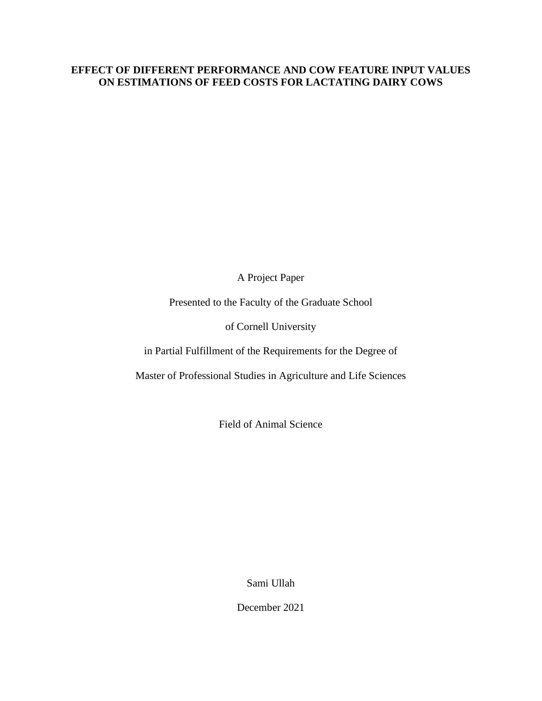## **EFFECT OF DIFFERENT PERFORMANCE AND COW FEATURE INPUT VALUES ON ESTIMATIONS OF FEED COSTS FOR LACTATING DAIRY COWS**

A Project Paper

Presented to the Faculty of the Graduate School

of Cornell University

in Partial Fulfillment of the Requirements for the Degree of

Master of Professional Studies in Agriculture and Life Sciences

Field of Animal Science

Sami Ullah

December 2021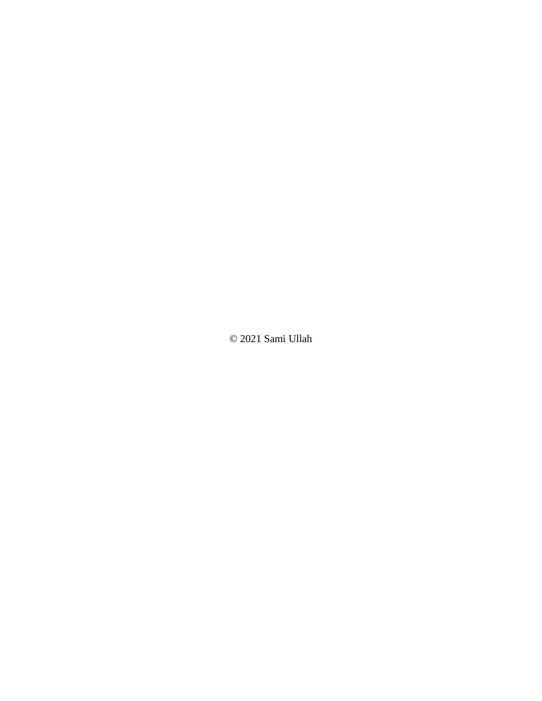© 2021 Sami Ullah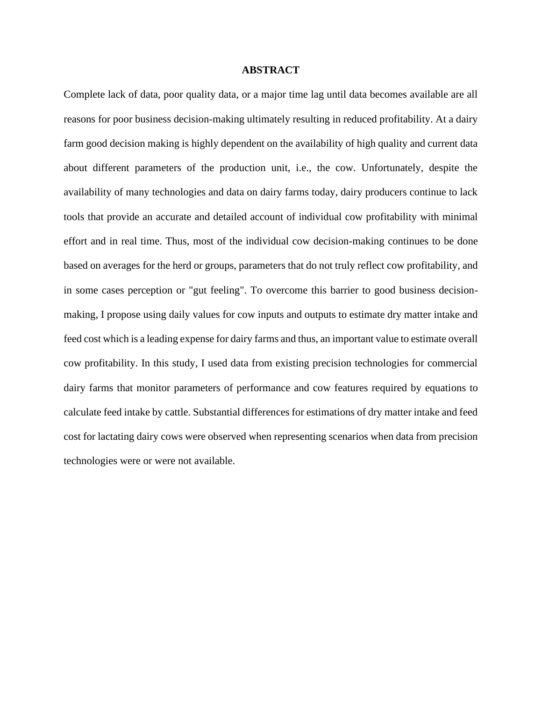#### **ABSTRACT**

Complete lack of data, poor quality data, or a major time lag until data becomes available are all reasons for poor business decision-making ultimately resulting in reduced profitability. At a dairy farm good decision making is highly dependent on the availability of high quality and current data about different parameters of the production unit, i.e., the cow. Unfortunately, despite the availability of many technologies and data on dairy farms today, dairy producers continue to lack tools that provide an accurate and detailed account of individual cow profitability with minimal effort and in real time. Thus, most of the individual cow decision-making continues to be done based on averages for the herd or groups, parameters that do not truly reflect cow profitability, and in some cases perception or "gut feeling". To overcome this barrier to good business decisionmaking, I propose using daily values for cow inputs and outputs to estimate dry matter intake and feed cost which is a leading expense for dairy farms and thus, an important value to estimate overall cow profitability. In this study, I used data from existing precision technologies for commercial dairy farms that monitor parameters of performance and cow features required by equations to calculate feed intake by cattle. Substantial differences for estimations of dry matter intake and feed cost for lactating dairy cows were observed when representing scenarios when data from precision technologies were or were not available.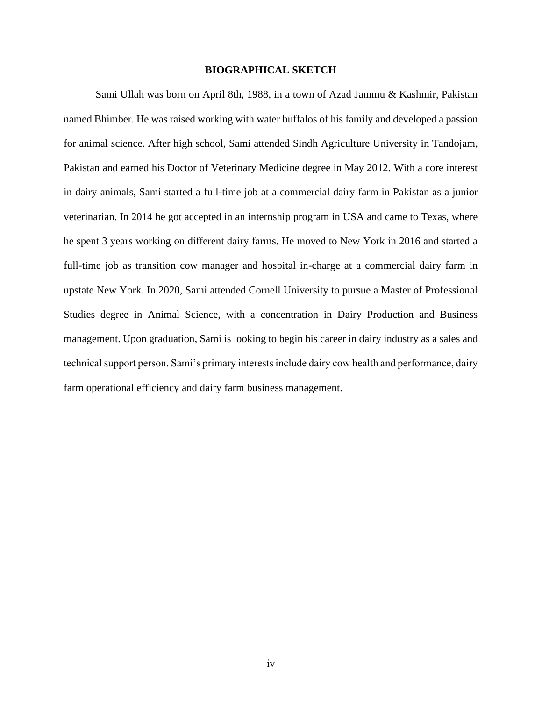#### **BIOGRAPHICAL SKETCH**

Sami Ullah was born on April 8th, 1988, in a town of Azad Jammu & Kashmir, Pakistan named Bhimber. He was raised working with water buffalos of his family and developed a passion for animal science. After high school, Sami attended Sindh Agriculture University in Tandojam, Pakistan and earned his Doctor of Veterinary Medicine degree in May 2012. With a core interest in dairy animals, Sami started a full-time job at a commercial dairy farm in Pakistan as a junior veterinarian. In 2014 he got accepted in an internship program in USA and came to Texas, where he spent 3 years working on different dairy farms. He moved to New York in 2016 and started a full-time job as transition cow manager and hospital in-charge at a commercial dairy farm in upstate New York. In 2020, Sami attended Cornell University to pursue a Master of Professional Studies degree in Animal Science, with a concentration in Dairy Production and Business management. Upon graduation, Sami is looking to begin his career in dairy industry as a sales and technical support person. Sami's primary interests include dairy cow health and performance, dairy farm operational efficiency and dairy farm business management.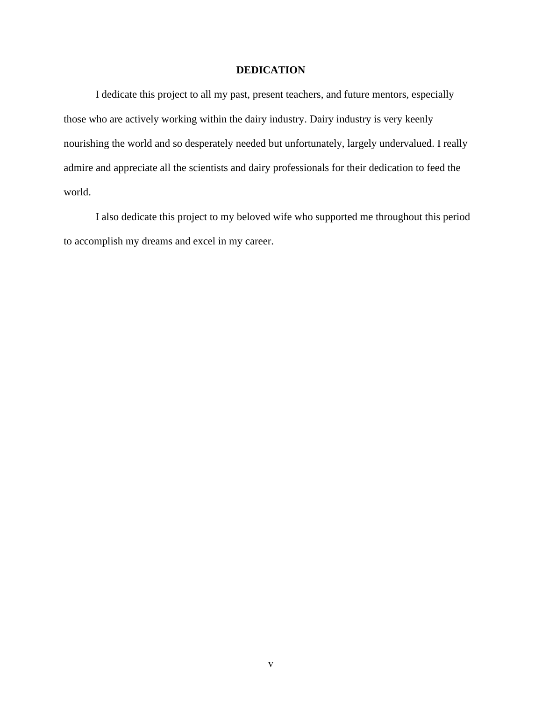### **DEDICATION**

I dedicate this project to all my past, present teachers, and future mentors, especially those who are actively working within the dairy industry. Dairy industry is very keenly nourishing the world and so desperately needed but unfortunately, largely undervalued. I really admire and appreciate all the scientists and dairy professionals for their dedication to feed the world.

I also dedicate this project to my beloved wife who supported me throughout this period to accomplish my dreams and excel in my career.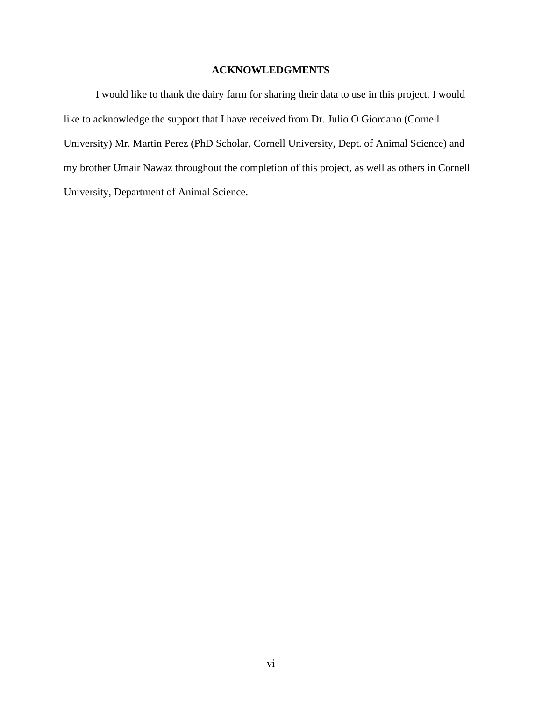## **ACKNOWLEDGMENTS**

I would like to thank the dairy farm for sharing their data to use in this project. I would like to acknowledge the support that I have received from Dr. Julio O Giordano (Cornell University) Mr. Martin Perez (PhD Scholar, Cornell University, Dept. of Animal Science) and my brother Umair Nawaz throughout the completion of this project, as well as others in Cornell University, Department of Animal Science.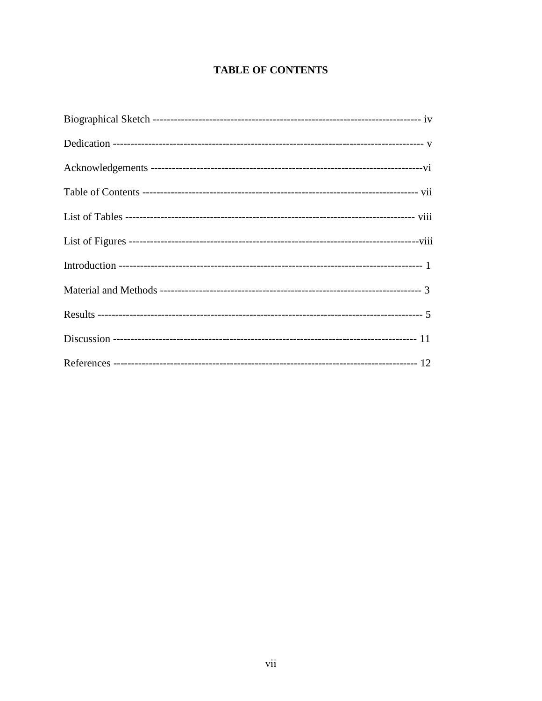# **TABLE OF CONTENTS**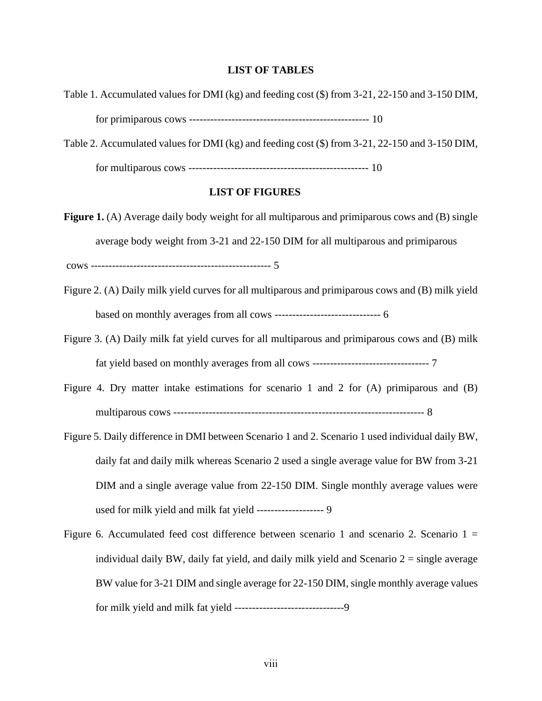## **LIST OF TABLES**

| Table 1. Accumulated values for DMI (kg) and feeding cost (\$) from 3-21, 22-150 and 3-150 DIM,        |  |  |  |  |  |  |  |  |
|--------------------------------------------------------------------------------------------------------|--|--|--|--|--|--|--|--|
|                                                                                                        |  |  |  |  |  |  |  |  |
| Table 2. Accumulated values for DMI (kg) and feeding cost (\$) from 3-21, 22-150 and 3-150 DIM,        |  |  |  |  |  |  |  |  |
|                                                                                                        |  |  |  |  |  |  |  |  |
| <b>LIST OF FIGURES</b>                                                                                 |  |  |  |  |  |  |  |  |
| <b>Figure 1.</b> (A) Average daily body weight for all multiparous and primiparous cows and (B) single |  |  |  |  |  |  |  |  |
| average body weight from 3-21 and 22-150 DIM for all multiparous and primiparous                       |  |  |  |  |  |  |  |  |
|                                                                                                        |  |  |  |  |  |  |  |  |
| Figure 2. (A) Daily milk yield curves for all multiparous and primiparous cows and (B) milk yield      |  |  |  |  |  |  |  |  |
|                                                                                                        |  |  |  |  |  |  |  |  |
| Figure 3. (A) Daily milk fat yield curves for all multiparous and primiparous cows and (B) milk        |  |  |  |  |  |  |  |  |
|                                                                                                        |  |  |  |  |  |  |  |  |
| Figure 4. Dry matter intake estimations for scenario 1 and 2 for $(A)$ primiparous and $(B)$           |  |  |  |  |  |  |  |  |
|                                                                                                        |  |  |  |  |  |  |  |  |
| Figure 5. Daily difference in DMI between Scenario 1 and 2. Scenario 1 used individual daily BW,       |  |  |  |  |  |  |  |  |
| daily fat and daily milk whereas Scenario 2 used a single average value for BW from 3-21               |  |  |  |  |  |  |  |  |
| DIM and a single average value from 22-150 DIM. Single monthly average values were                     |  |  |  |  |  |  |  |  |
| used for milk yield and milk fat yield ------------------- 9                                           |  |  |  |  |  |  |  |  |
| Figure 6. Accumulated feed cost difference between scenario 1 and scenario 2. Scenario $1 =$           |  |  |  |  |  |  |  |  |
| individual daily BW, daily fat yield, and daily milk yield and Scenario $2 =$ single average           |  |  |  |  |  |  |  |  |
| BW value for 3-21 DIM and single average for 22-150 DIM, single monthly average values                 |  |  |  |  |  |  |  |  |
|                                                                                                        |  |  |  |  |  |  |  |  |

for milk yield and milk fat yield -------------------------------9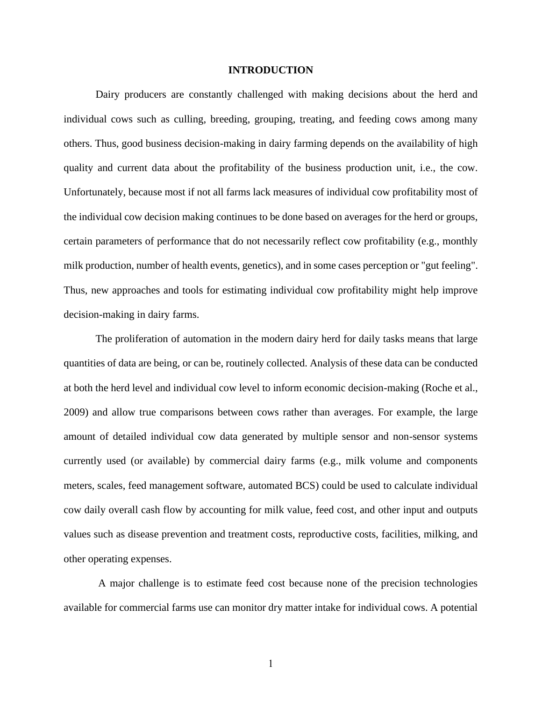#### **INTRODUCTION**

Dairy producers are constantly challenged with making decisions about the herd and individual cows such as culling, breeding, grouping, treating, and feeding cows among many others. Thus, good business decision-making in dairy farming depends on the availability of high quality and current data about the profitability of the business production unit, i.e., the cow. Unfortunately, because most if not all farms lack measures of individual cow profitability most of the individual cow decision making continues to be done based on averages for the herd or groups, certain parameters of performance that do not necessarily reflect cow profitability (e.g., monthly milk production, number of health events, genetics), and in some cases perception or "gut feeling". Thus, new approaches and tools for estimating individual cow profitability might help improve decision-making in dairy farms.

The proliferation of automation in the modern dairy herd for daily tasks means that large quantities of data are being, or can be, routinely collected. Analysis of these data can be conducted at both the herd level and individual cow level to inform economic decision-making (Roche et al., 2009) and allow true comparisons between cows rather than averages. For example, the large amount of detailed individual cow data generated by multiple sensor and non-sensor systems currently used (or available) by commercial dairy farms (e.g., milk volume and components meters, scales, feed management software, automated BCS) could be used to calculate individual cow daily overall cash flow by accounting for milk value, feed cost, and other input and outputs values such as disease prevention and treatment costs, reproductive costs, facilities, milking, and other operating expenses.

A major challenge is to estimate feed cost because none of the precision technologies available for commercial farms use can monitor dry matter intake for individual cows. A potential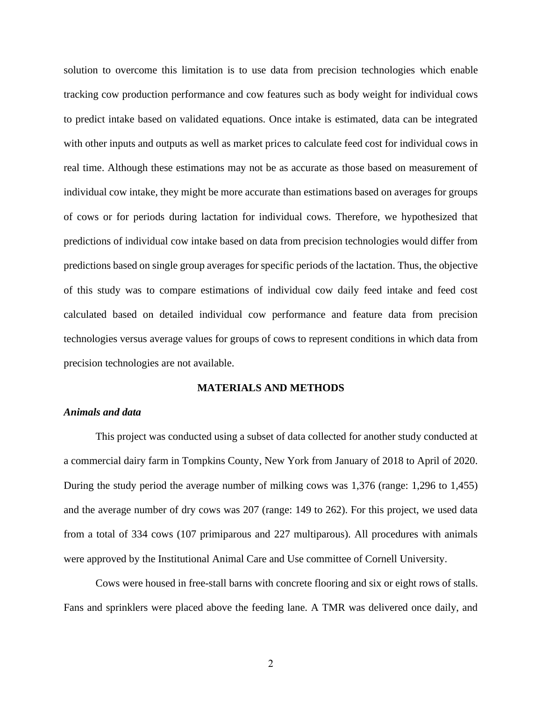solution to overcome this limitation is to use data from precision technologies which enable tracking cow production performance and cow features such as body weight for individual cows to predict intake based on validated equations. Once intake is estimated, data can be integrated with other inputs and outputs as well as market prices to calculate feed cost for individual cows in real time. Although these estimations may not be as accurate as those based on measurement of individual cow intake, they might be more accurate than estimations based on averages for groups of cows or for periods during lactation for individual cows. Therefore, we hypothesized that predictions of individual cow intake based on data from precision technologies would differ from predictions based on single group averages for specific periods of the lactation. Thus, the objective of this study was to compare estimations of individual cow daily feed intake and feed cost calculated based on detailed individual cow performance and feature data from precision technologies versus average values for groups of cows to represent conditions in which data from precision technologies are not available.

#### **MATERIALS AND METHODS**

#### *Animals and data*

This project was conducted using a subset of data collected for another study conducted at a commercial dairy farm in Tompkins County, New York from January of 2018 to April of 2020. During the study period the average number of milking cows was 1,376 (range: 1,296 to 1,455) and the average number of dry cows was 207 (range: 149 to 262). For this project, we used data from a total of 334 cows (107 primiparous and 227 multiparous). All procedures with animals were approved by the Institutional Animal Care and Use committee of Cornell University.

Cows were housed in free-stall barns with concrete flooring and six or eight rows of stalls. Fans and sprinklers were placed above the feeding lane. A TMR was delivered once daily, and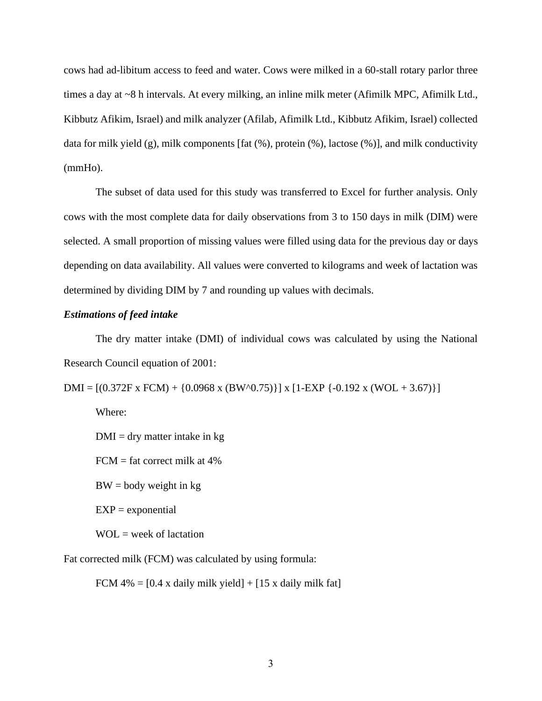cows had ad-libitum access to feed and water. Cows were milked in a 60-stall rotary parlor three times a day at ~8 h intervals. At every milking, an inline milk meter (Afimilk MPC, Afimilk Ltd., Kibbutz Afikim, Israel) and milk analyzer (Afilab, Afimilk Ltd., Kibbutz Afikim, Israel) collected data for milk yield (g), milk components [fat (%), protein (%), lactose (%)], and milk conductivity (mmHo).

The subset of data used for this study was transferred to Excel for further analysis. Only cows with the most complete data for daily observations from 3 to 150 days in milk (DIM) were selected. A small proportion of missing values were filled using data for the previous day or days depending on data availability. All values were converted to kilograms and week of lactation was determined by dividing DIM by 7 and rounding up values with decimals.

#### *Estimations of feed intake*

The dry matter intake (DMI) of individual cows was calculated by using the National Research Council equation of 2001:

DMI =  $[(0.372F \times FCM) + (0.0968 \times (BW^0.75))] \times [1-EXP (-0.192 \times (WOL + 3.67))]$ 

Where:

 $DMI = dry$  matter intake in kg

 $FCM = fat correct milk at 4%$ 

 $BW = body weight in kg$ 

 $EXP = exponential$ 

 $WOL = week of lactation$ 

Fat corrected milk (FCM) was calculated by using formula:

FCM  $4\% = [0.4 \times \text{daily milk yield}] + [15 \times \text{daily milk fat}]$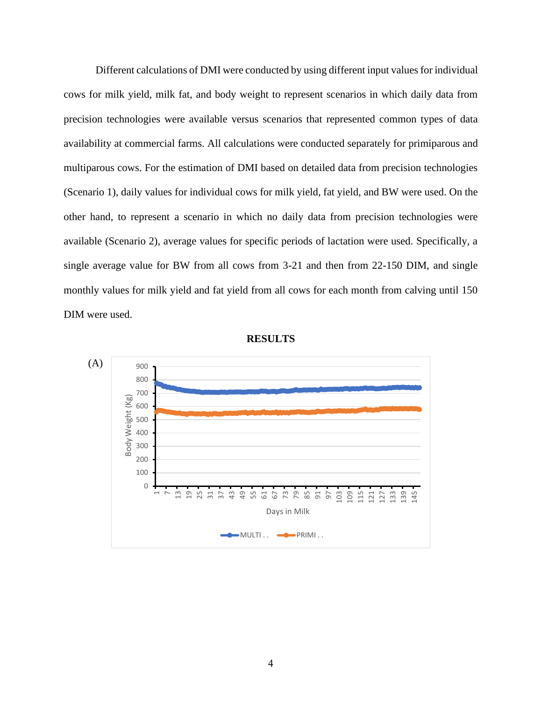Different calculations of DMI were conducted by using different input values for individual cows for milk yield, milk fat, and body weight to represent scenarios in which daily data from precision technologies were available versus scenarios that represented common types of data availability at commercial farms. All calculations were conducted separately for primiparous and multiparous cows. For the estimation of DMI based on detailed data from precision technologies (Scenario 1), daily values for individual cows for milk yield, fat yield, and BW were used. On the other hand, to represent a scenario in which no daily data from precision technologies were available (Scenario 2), average values for specific periods of lactation were used. Specifically, a single average value for BW from all cows from 3-21 and then from 22-150 DIM, and single monthly values for milk yield and fat yield from all cows for each month from calving until 150 DIM were used.



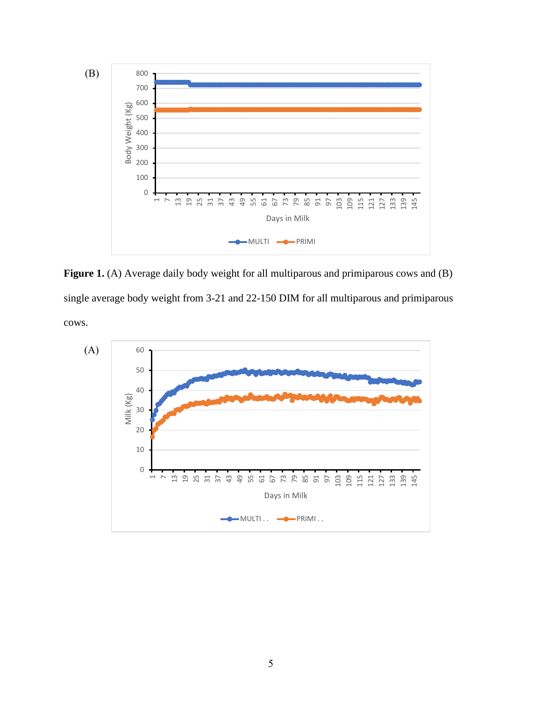

Figure 1. (A) Average daily body weight for all multiparous and primiparous cows and (B) single average body weight from 3-21 and 22-150 DIM for all multiparous and primiparous cows.

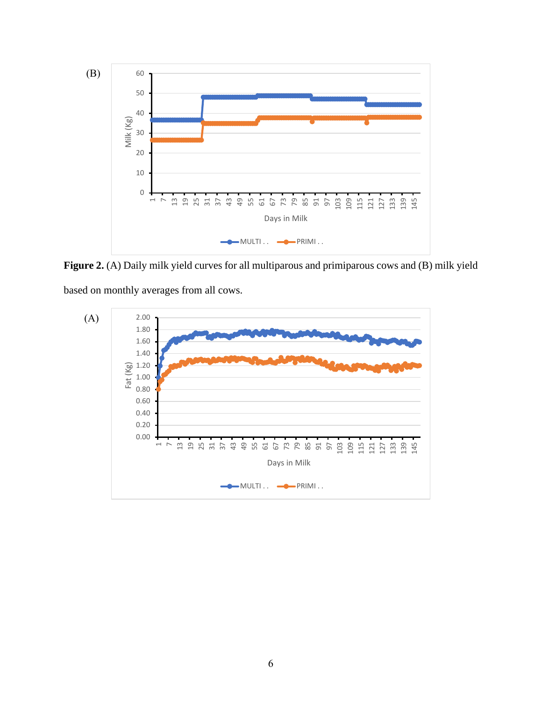

**Figure 2.** (A) Daily milk yield curves for all multiparous and primiparous cows and (B) milk yield

based on monthly averages from all cows.

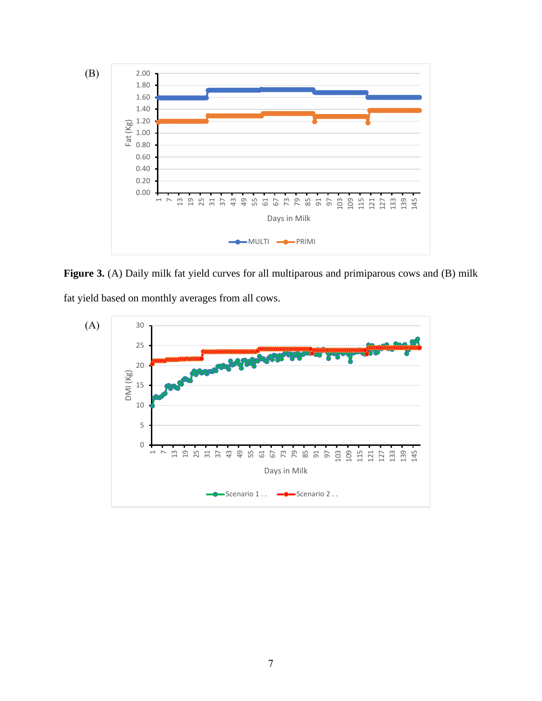

Figure 3. (A) Daily milk fat yield curves for all multiparous and primiparous cows and (B) milk

fat yield based on monthly averages from all cows.

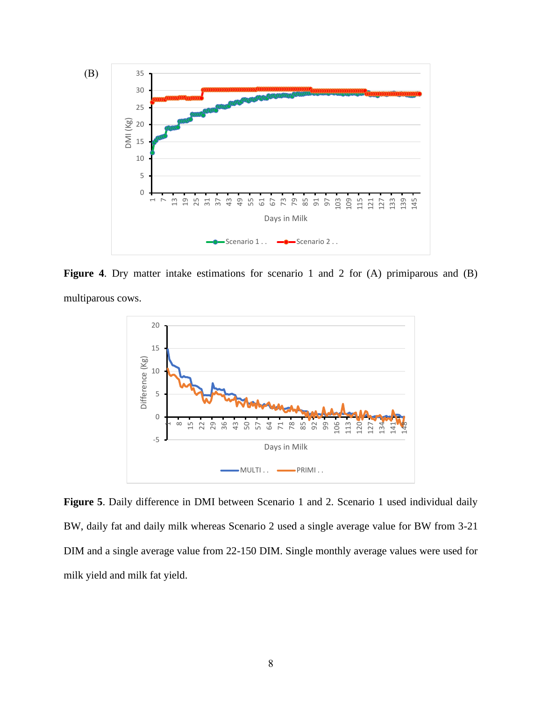

Figure 4. Dry matter intake estimations for scenario 1 and 2 for (A) primiparous and (B) multiparous cows.



**Figure 5**. Daily difference in DMI between Scenario 1 and 2. Scenario 1 used individual daily BW, daily fat and daily milk whereas Scenario 2 used a single average value for BW from 3-21 DIM and a single average value from 22-150 DIM. Single monthly average values were used for milk yield and milk fat yield.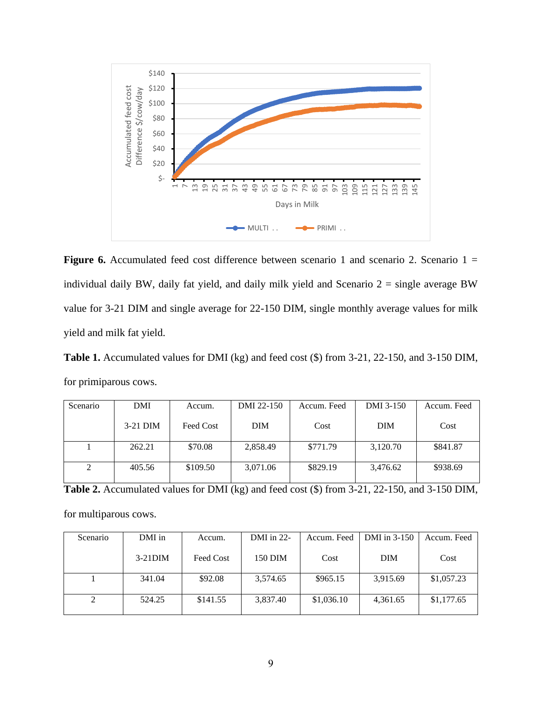

**Figure 6.** Accumulated feed cost difference between scenario 1 and scenario 2. Scenario  $1 =$ individual daily BW, daily fat yield, and daily milk yield and Scenario  $2 =$  single average BW value for 3-21 DIM and single average for 22-150 DIM, single monthly average values for milk yield and milk fat yield.

**Table 1.** Accumulated values for DMI (kg) and feed cost (\$) from 3-21, 22-150, and 3-150 DIM, for primiparous cows.

| Scenario | DMI        | Accum.    | DMI 22-150 | Accum. Feed | DMI 3-150 | Accum. Feed |
|----------|------------|-----------|------------|-------------|-----------|-------------|
|          | $3-21$ DIM | Feed Cost | <b>DIM</b> | Cost        | DIM       | Cost        |
|          | 262.21     | \$70.08   | 2,858.49   | \$771.79    | 3,120.70  | \$841.87    |
|          |            |           |            |             |           |             |
| 2        | 405.56     | \$109.50  | 3,071.06   | \$829.19    | 3,476.62  | \$938.69    |
|          |            |           |            |             |           |             |

**Table 2.** Accumulated values for DMI (kg) and feed cost (\$) from 3-21, 22-150, and 3-150 DIM,

for multiparous cows.

| Scenario | DMI in     | Accum.    | DMI in $22$ - | Accum. Feed | DMI in $3-150$ | Accum. Feed |
|----------|------------|-----------|---------------|-------------|----------------|-------------|
|          | $3-21$ DIM | Feed Cost | 150 DIM       | Cost        | <b>DIM</b>     | Cost        |
|          | 341.04     | \$92.08   | 3.574.65      | \$965.15    | 3,915.69       | \$1,057.23  |
|          |            |           |               |             |                |             |
|          | 524.25     | \$141.55  | 3,837.40      | \$1,036.10  | 4,361.65       | \$1,177.65  |
|          |            |           |               |             |                |             |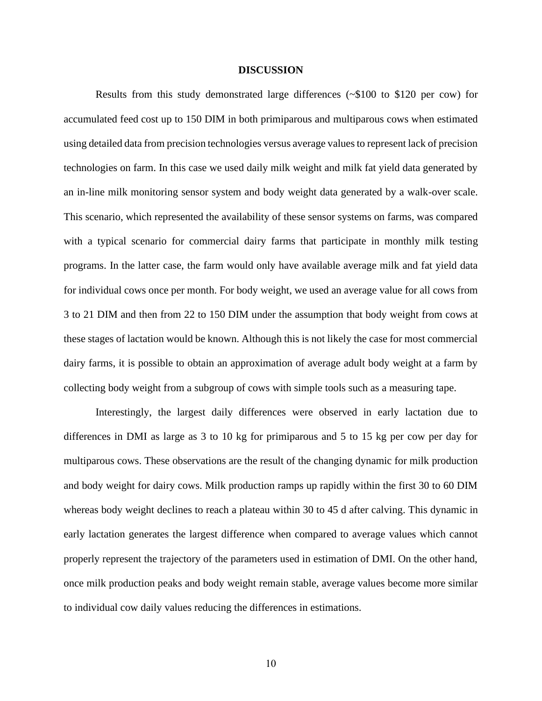#### **DISCUSSION**

Results from this study demonstrated large differences (~\$100 to \$120 per cow) for accumulated feed cost up to 150 DIM in both primiparous and multiparous cows when estimated using detailed data from precision technologies versus average values to represent lack of precision technologies on farm. In this case we used daily milk weight and milk fat yield data generated by an in-line milk monitoring sensor system and body weight data generated by a walk-over scale. This scenario, which represented the availability of these sensor systems on farms, was compared with a typical scenario for commercial dairy farms that participate in monthly milk testing programs. In the latter case, the farm would only have available average milk and fat yield data for individual cows once per month. For body weight, we used an average value for all cows from 3 to 21 DIM and then from 22 to 150 DIM under the assumption that body weight from cows at these stages of lactation would be known. Although this is not likely the case for most commercial dairy farms, it is possible to obtain an approximation of average adult body weight at a farm by collecting body weight from a subgroup of cows with simple tools such as a measuring tape.

Interestingly, the largest daily differences were observed in early lactation due to differences in DMI as large as 3 to 10 kg for primiparous and 5 to 15 kg per cow per day for multiparous cows. These observations are the result of the changing dynamic for milk production and body weight for dairy cows. Milk production ramps up rapidly within the first 30 to 60 DIM whereas body weight declines to reach a plateau within 30 to 45 d after calving. This dynamic in early lactation generates the largest difference when compared to average values which cannot properly represent the trajectory of the parameters used in estimation of DMI. On the other hand, once milk production peaks and body weight remain stable, average values become more similar to individual cow daily values reducing the differences in estimations.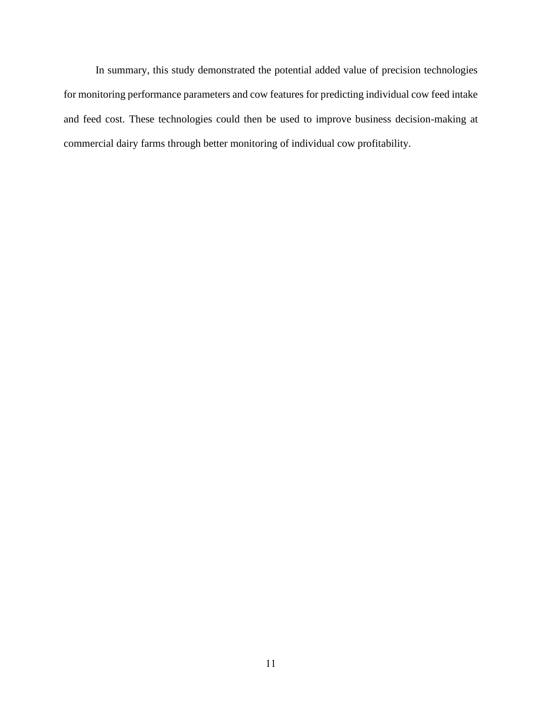In summary, this study demonstrated the potential added value of precision technologies for monitoring performance parameters and cow features for predicting individual cow feed intake and feed cost. These technologies could then be used to improve business decision-making at commercial dairy farms through better monitoring of individual cow profitability.